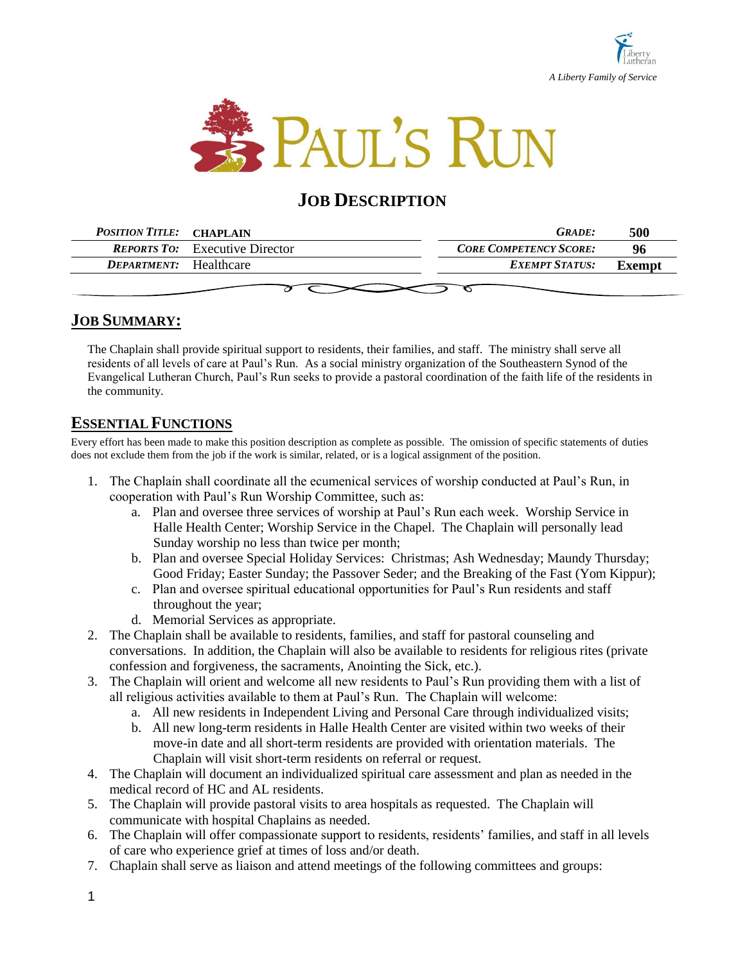



# **JOB DESCRIPTION**

| <b>POSITION TITLE: CHAPLAIN</b> |                                       | <b>GRADE:</b>                 | 500    |  |
|---------------------------------|---------------------------------------|-------------------------------|--------|--|
|                                 | <b>REPORTS TO:</b> Executive Director | <b>CORE COMPETENCY SCORE:</b> | 96     |  |
| <b>DEPARTMENT:</b> Healthcare   |                                       | EXEMPT STATUS:                | Exempt |  |
|                                 |                                       |                               |        |  |

## **JOB SUMMARY:**

The Chaplain shall provide spiritual support to residents, their families, and staff. The ministry shall serve all residents of all levels of care at Paul's Run. As a social ministry organization of the Southeastern Synod of the Evangelical Lutheran Church, Paul's Run seeks to provide a pastoral coordination of the faith life of the residents in the community.

### **ESSENTIAL FUNCTIONS**

Every effort has been made to make this position description as complete as possible. The omission of specific statements of duties does not exclude them from the job if the work is similar, related, or is a logical assignment of the position.

- 1. The Chaplain shall coordinate all the ecumenical services of worship conducted at Paul's Run, in cooperation with Paul's Run Worship Committee, such as:
	- a. Plan and oversee three services of worship at Paul's Run each week. Worship Service in Halle Health Center; Worship Service in the Chapel. The Chaplain will personally lead Sunday worship no less than twice per month;
	- b. Plan and oversee Special Holiday Services: Christmas; Ash Wednesday; Maundy Thursday; Good Friday; Easter Sunday; the Passover Seder; and the Breaking of the Fast (Yom Kippur);
	- c. Plan and oversee spiritual educational opportunities for Paul's Run residents and staff throughout the year;
	- d. Memorial Services as appropriate.
- 2. The Chaplain shall be available to residents, families, and staff for pastoral counseling and conversations. In addition, the Chaplain will also be available to residents for religious rites (private confession and forgiveness, the sacraments, Anointing the Sick, etc.).
- 3. The Chaplain will orient and welcome all new residents to Paul's Run providing them with a list of all religious activities available to them at Paul's Run. The Chaplain will welcome:
	- a. All new residents in Independent Living and Personal Care through individualized visits;
	- b. All new long-term residents in Halle Health Center are visited within two weeks of their move-in date and all short-term residents are provided with orientation materials. The Chaplain will visit short-term residents on referral or request.
- 4. The Chaplain will document an individualized spiritual care assessment and plan as needed in the medical record of HC and AL residents.
- 5. The Chaplain will provide pastoral visits to area hospitals as requested. The Chaplain will communicate with hospital Chaplains as needed.
- 6. The Chaplain will offer compassionate support to residents, residents' families, and staff in all levels of care who experience grief at times of loss and/or death.
- 7. Chaplain shall serve as liaison and attend meetings of the following committees and groups: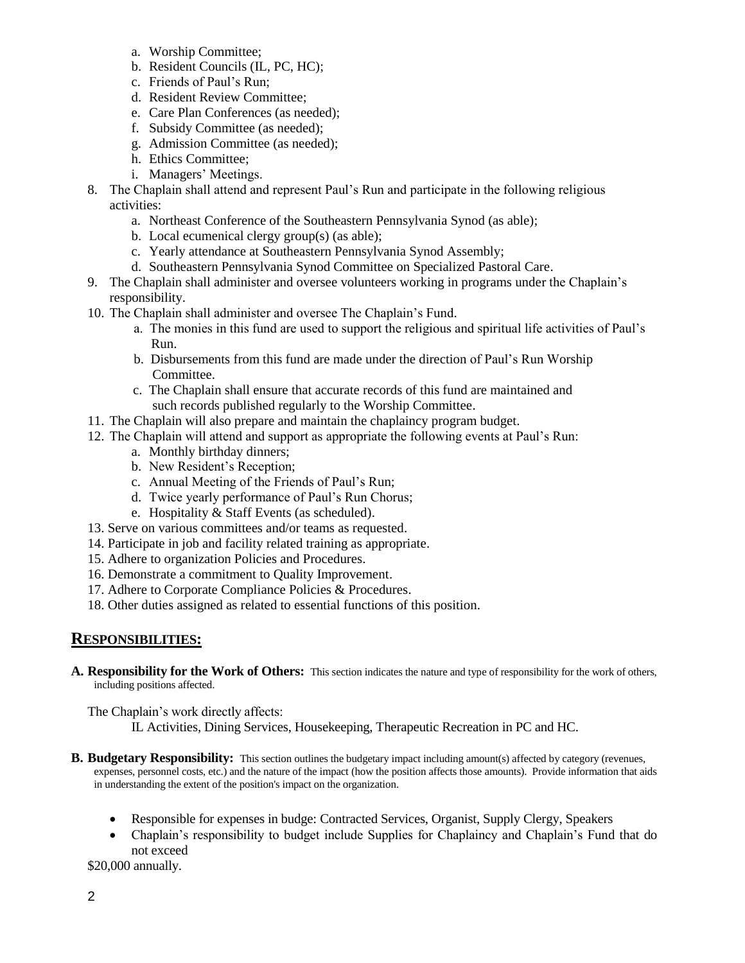- a. Worship Committee;
- b. Resident Councils (IL, PC, HC);
- c. Friends of Paul's Run;
- d. Resident Review Committee;
- e. Care Plan Conferences (as needed);
- f. Subsidy Committee (as needed);
- g. Admission Committee (as needed);
- h. Ethics Committee;
- i. Managers' Meetings.
- 8. The Chaplain shall attend and represent Paul's Run and participate in the following religious activities:
	- a. Northeast Conference of the Southeastern Pennsylvania Synod (as able);
	- b. Local ecumenical clergy group(s) (as able);
	- c. Yearly attendance at Southeastern Pennsylvania Synod Assembly;
	- d. Southeastern Pennsylvania Synod Committee on Specialized Pastoral Care.
- 9. The Chaplain shall administer and oversee volunteers working in programs under the Chaplain's responsibility.
- 10. The Chaplain shall administer and oversee The Chaplain's Fund.
	- a. The monies in this fund are used to support the religious and spiritual life activities of Paul's Run.
	- b. Disbursements from this fund are made under the direction of Paul's Run Worship Committee.
	- c. The Chaplain shall ensure that accurate records of this fund are maintained and such records published regularly to the Worship Committee.
- 11. The Chaplain will also prepare and maintain the chaplaincy program budget.
- 12. The Chaplain will attend and support as appropriate the following events at Paul's Run:
	- a. Monthly birthday dinners;
	- b. New Resident's Reception;
	- c. Annual Meeting of the Friends of Paul's Run;
	- d. Twice yearly performance of Paul's Run Chorus;
	- e. Hospitality & Staff Events (as scheduled).
- 13. Serve on various committees and/or teams as requested.
- 14. Participate in job and facility related training as appropriate.
- 15. Adhere to organization Policies and Procedures.
- 16. Demonstrate a commitment to Quality Improvement.
- 17. Adhere to Corporate Compliance Policies & Procedures.
- 18. Other duties assigned as related to essential functions of this position.

#### **RESPONSIBILITIES:**

**A. Responsibility for the Work of Others:** This section indicates the nature and type of responsibility for the work of others, including positions affected.

The Chaplain's work directly affects:

IL Activities, Dining Services, Housekeeping, Therapeutic Recreation in PC and HC.

- **B.** Budgetary Responsibility: This section outlines the budgetary impact including amount(s) affected by category (revenues, expenses, personnel costs, etc.) and the nature of the impact (how the position affects those amounts). Provide information that aids in understanding the extent of the position's impact on the organization.
	- Responsible for expenses in budge: Contracted Services, Organist, Supply Clergy, Speakers
	- Chaplain's responsibility to budget include Supplies for Chaplaincy and Chaplain's Fund that do not exceed

\$20,000 annually.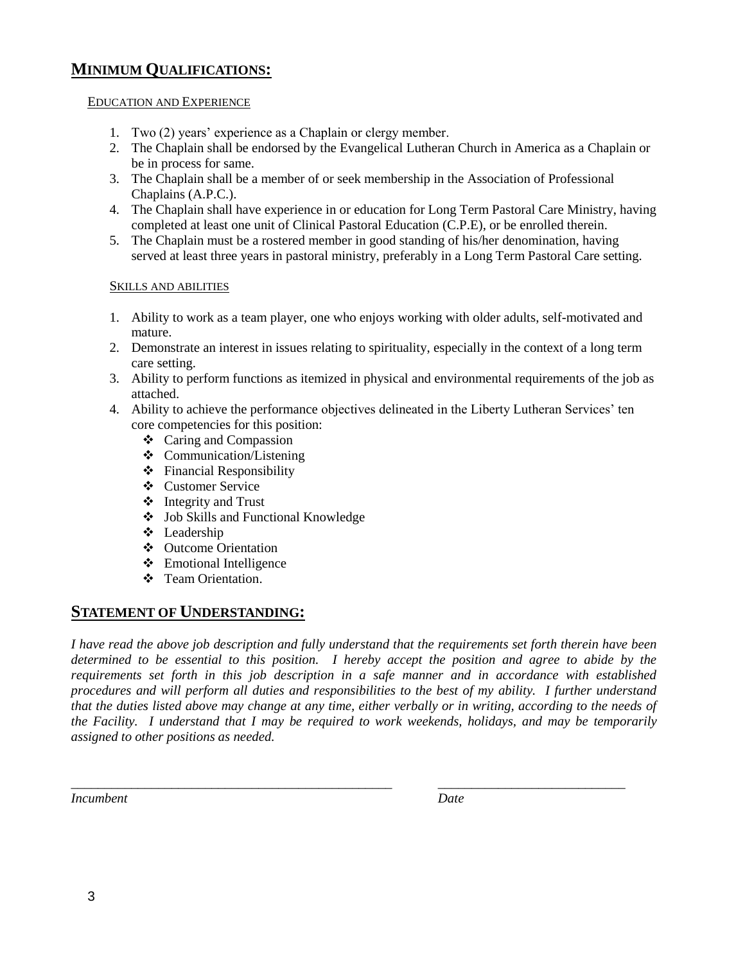### **MINIMUM QUALIFICATIONS:**

#### EDUCATION AND EXPERIENCE

- 1. Two (2) years' experience as a Chaplain or clergy member.
- 2. The Chaplain shall be endorsed by the Evangelical Lutheran Church in America as a Chaplain or be in process for same.
- 3. The Chaplain shall be a member of or seek membership in the Association of Professional Chaplains (A.P.C.).
- 4. The Chaplain shall have experience in or education for Long Term Pastoral Care Ministry, having completed at least one unit of Clinical Pastoral Education (C.P.E), or be enrolled therein.
- 5. The Chaplain must be a rostered member in good standing of his/her denomination, having served at least three years in pastoral ministry, preferably in a Long Term Pastoral Care setting.

#### SKILLS AND ABILITIES

- 1. Ability to work as a team player, one who enjoys working with older adults, self-motivated and mature.
- 2. Demonstrate an interest in issues relating to spirituality, especially in the context of a long term care setting.
- 3. Ability to perform functions as itemized in physical and environmental requirements of the job as attached.
- 4. Ability to achieve the performance objectives delineated in the Liberty Lutheran Services' ten core competencies for this position:
	- Caring and Compassion
	- $\triangleleft$  Communication/Listening
	- $\div$  Financial Responsibility
	- Customer Service
	- $\triangleleft$  Integrity and Trust
	- Job Skills and Functional Knowledge
	- Leadership
	- Outcome Orientation
	- Emotional Intelligence
	- ❖ Team Orientation

### **STATEMENT OF UNDERSTANDING:**

*I have read the above job description and fully understand that the requirements set forth therein have been determined to be essential to this position. I hereby accept the position and agree to abide by the requirements set forth in this job description in a safe manner and in accordance with established procedures and will perform all duties and responsibilities to the best of my ability. I further understand that the duties listed above may change at any time, either verbally or in writing, according to the needs of the Facility. I understand that I may be required to work weekends, holidays, and may be temporarily assigned to other positions as needed.*

*\_\_\_\_\_\_\_\_\_\_\_\_\_\_\_\_\_\_\_\_\_\_\_\_\_\_\_\_\_\_\_\_\_\_\_\_\_\_\_\_\_\_\_\_\_\_\_\_ \_\_\_\_\_\_\_\_\_\_\_\_\_\_\_\_\_\_\_\_\_\_\_\_\_\_\_\_*

*Incumbent Date*